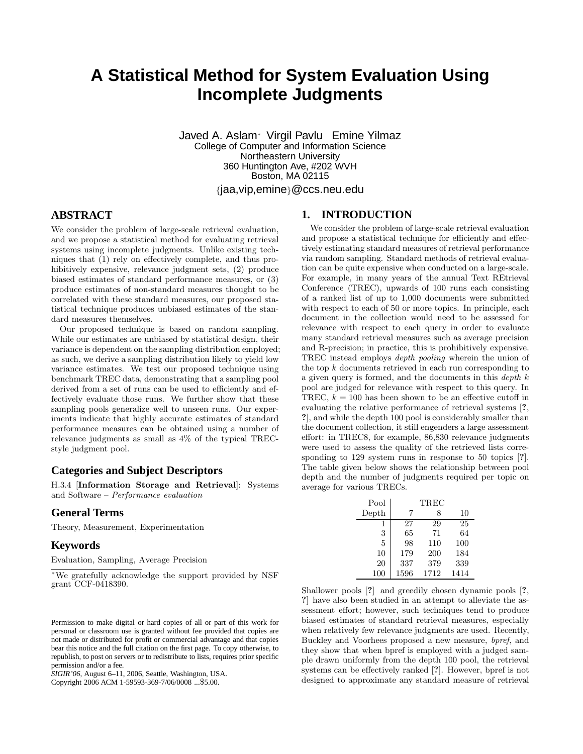# **A Statistical Method for System Evaluation Using Incomplete Judgments**

Javed A. Aslam<sup>∗</sup> Virgil Pavlu Emine Yilmaz College of Computer and Information Science Northeastern University 360 Huntington Ave, #202 WVH Boston, MA 02115 {jaa,vip,emine}@ccs.neu.edu

# **ABSTRACT**

We consider the problem of large-scale retrieval evaluation, and we propose a statistical method for evaluating retrieval systems using incomplete judgments. Unlike existing techniques that (1) rely on effectively complete, and thus prohibitively expensive, relevance judgment sets, (2) produce biased estimates of standard performance measures, or (3) produce estimates of non-standard measures thought to be correlated with these standard measures, our proposed statistical technique produces unbiased estimates of the standard measures themselves.

Our proposed technique is based on random sampling. While our estimates are unbiased by statistical design, their variance is dependent on the sampling distribution employed; as such, we derive a sampling distribution likely to yield low variance estimates. We test our proposed technique using benchmark TREC data, demonstrating that a sampling pool derived from a set of runs can be used to efficiently and effectively evaluate those runs. We further show that these sampling pools generalize well to unseen runs. Our experiments indicate that highly accurate estimates of standard performance measures can be obtained using a number of relevance judgments as small as 4% of the typical TRECstyle judgment pool.

## **Categories and Subject Descriptors**

H.3.4 [Information Storage and Retrieval]: Systems and Software – Performance evaluation

### **General Terms**

Theory, Measurement, Experimentation

#### **Keywords**

Evaluation, Sampling, Average Precision

Copyright 2006 ACM 1-59593-369-7/06/0008 ...\$5.00.

## **1. INTRODUCTION**

We consider the problem of large-scale retrieval evaluation and propose a statistical technique for efficiently and effectively estimating standard measures of retrieval performance via random sampling. Standard methods of retrieval evaluation can be quite expensive when conducted on a large-scale. For example, in many years of the annual Text REtrieval Conference (TREC), upwards of 100 runs each consisting of a ranked list of up to 1,000 documents were submitted with respect to each of 50 or more topics. In principle, each document in the collection would need to be assessed for relevance with respect to each query in order to evaluate many standard retrieval measures such as average precision and R-precision; in practice, this is prohibitively expensive. TREC instead employs depth pooling wherein the union of the top k documents retrieved in each run corresponding to a given query is formed, and the documents in this depth k pool are judged for relevance with respect to this query. In TREC,  $k = 100$  has been shown to be an effective cutoff in evaluating the relative performance of retrieval systems [?, ?], and while the depth 100 pool is considerably smaller than the document collection, it still engenders a large assessment effort: in TREC8, for example, 86,830 relevance judgments were used to assess the quality of the retrieved lists corresponding to 129 system runs in response to 50 topics [?]. The table given below shows the relationship between pool depth and the number of judgments required per topic on average for various TRECs.

| Pool  | TREC |      |      |  |  |  |  |  |
|-------|------|------|------|--|--|--|--|--|
| Depth | 7    | 8    | 10   |  |  |  |  |  |
| 1     | 27   | 29   | 25   |  |  |  |  |  |
| 3     | 65   | 71   | 64   |  |  |  |  |  |
| 5     | 98   | 110  | 100  |  |  |  |  |  |
| 10    | 179  | 200  | 184  |  |  |  |  |  |
| 20    | 337  | 379  | 339  |  |  |  |  |  |
| 100   | 1596 | 1712 | 1414 |  |  |  |  |  |

Shallower pools [?] and greedily chosen dynamic pools [?, ?] have also been studied in an attempt to alleviate the assessment effort; however, such techniques tend to produce biased estimates of standard retrieval measures, especially when relatively few relevance judgments are used. Recently, Buckley and Voorhees proposed a new measure, bpref, and they show that when bpref is employed with a judged sample drawn uniformly from the depth 100 pool, the retrieval systems can be effectively ranked [?]. However, bpref is not designed to approximate any standard measure of retrieval

<sup>∗</sup>We gratefully acknowledge the support provided by NSF grant CCF-0418390.

Permission to make digital or hard copies of all or part of this work for personal or classroom use is granted without fee provided that copies are not made or distributed for profit or commercial advantage and that copies bear this notice and the full citation on the first page. To copy otherwise, to republish, to post on servers or to redistribute to lists, requires prior specific permission and/or a fee.

*SIGIR'06,* August 6–11, 2006, Seattle, Washington, USA.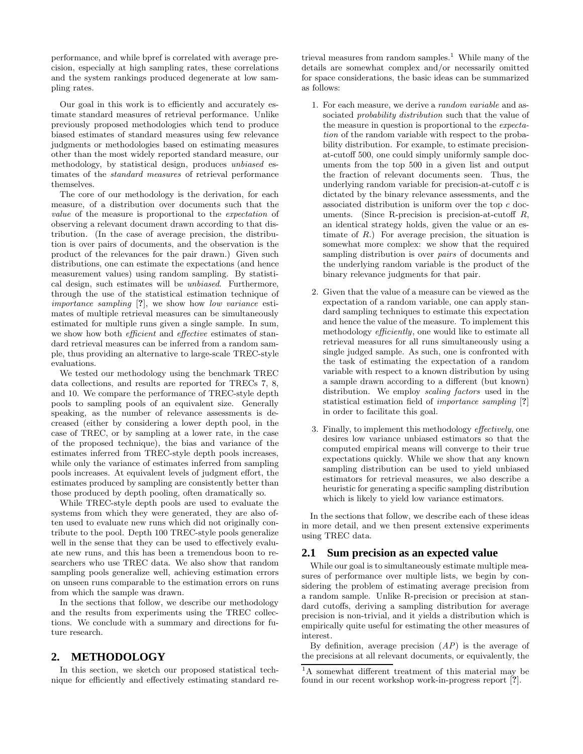performance, and while bpref is correlated with average precision, especially at high sampling rates, these correlations and the system rankings produced degenerate at low sampling rates.

Our goal in this work is to efficiently and accurately estimate standard measures of retrieval performance. Unlike previously proposed methodologies which tend to produce biased estimates of standard measures using few relevance judgments or methodologies based on estimating measures other than the most widely reported standard measure, our methodology, by statistical design, produces unbiased estimates of the standard measures of retrieval performance themselves.

The core of our methodology is the derivation, for each measure, of a distribution over documents such that the value of the measure is proportional to the expectation of observing a relevant document drawn according to that distribution. (In the case of average precision, the distribution is over pairs of documents, and the observation is the product of the relevances for the pair drawn.) Given such distributions, one can estimate the expectations (and hence measurement values) using random sampling. By statistical design, such estimates will be unbiased. Furthermore, through the use of the statistical estimation technique of importance sampling [?], we show how low variance estimates of multiple retrieval measures can be simultaneously estimated for multiple runs given a single sample. In sum, we show how both *efficient* and *effective* estimates of standard retrieval measures can be inferred from a random sample, thus providing an alternative to large-scale TREC-style evaluations.

We tested our methodology using the benchmark TREC data collections, and results are reported for TRECs 7, 8, and 10. We compare the performance of TREC-style depth pools to sampling pools of an equivalent size. Generally speaking, as the number of relevance assessments is decreased (either by considering a lower depth pool, in the case of TREC, or by sampling at a lower rate, in the case of the proposed technique), the bias and variance of the estimates inferred from TREC-style depth pools increases, while only the variance of estimates inferred from sampling pools increases. At equivalent levels of judgment effort, the estimates produced by sampling are consistently better than those produced by depth pooling, often dramatically so.

While TREC-style depth pools are used to evaluate the systems from which they were generated, they are also often used to evaluate new runs which did not originally contribute to the pool. Depth 100 TREC-style pools generalize well in the sense that they can be used to effectively evaluate new runs, and this has been a tremendous boon to researchers who use TREC data. We also show that random sampling pools generalize well, achieving estimation errors on unseen runs comparable to the estimation errors on runs from which the sample was drawn.

In the sections that follow, we describe our methodology and the results from experiments using the TREC collections. We conclude with a summary and directions for future research.

### **2. METHODOLOGY**

In this section, we sketch our proposed statistical technique for efficiently and effectively estimating standard retrieval measures from random samples.<sup>1</sup> While many of the details are somewhat complex and/or necessarily omitted for space considerations, the basic ideas can be summarized as follows:

- 1. For each measure, we derive a random variable and associated *probability distribution* such that the value of the measure in question is proportional to the expectation of the random variable with respect to the probability distribution. For example, to estimate precisionat-cutoff 500, one could simply uniformly sample documents from the top 500 in a given list and output the fraction of relevant documents seen. Thus, the underlying random variable for precision-at-cutoff  $c$  is dictated by the binary relevance assessments, and the associated distribution is uniform over the top  $c$  documents. (Since R-precision is precision-at-cutoff  $R$ , an identical strategy holds, given the value or an estimate of  $R$ .) For average precision, the situation is somewhat more complex: we show that the required sampling distribution is over pairs of documents and the underlying random variable is the product of the binary relevance judgments for that pair.
- 2. Given that the value of a measure can be viewed as the expectation of a random variable, one can apply standard sampling techniques to estimate this expectation and hence the value of the measure. To implement this methodology efficiently, one would like to estimate all retrieval measures for all runs simultaneously using a single judged sample. As such, one is confronted with the task of estimating the expectation of a random variable with respect to a known distribution by using a sample drawn according to a different (but known) distribution. We employ scaling factors used in the statistical estimation field of importance sampling [?] in order to facilitate this goal.
- 3. Finally, to implement this methodology effectively, one desires low variance unbiased estimators so that the computed empirical means will converge to their true expectations quickly. While we show that any known sampling distribution can be used to yield unbiased estimators for retrieval measures, we also describe a heuristic for generating a specific sampling distribution which is likely to yield low variance estimators.

In the sections that follow, we describe each of these ideas in more detail, and we then present extensive experiments using TREC data.

#### **2.1 Sum precision as an expected value**

While our goal is to simultaneously estimate multiple measures of performance over multiple lists, we begin by considering the problem of estimating average precision from a random sample. Unlike R-precision or precision at standard cutoffs, deriving a sampling distribution for average precision is non-trivial, and it yields a distribution which is empirically quite useful for estimating the other measures of interest.

By definition, average precision  $AP$ ) is the average of the precisions at all relevant documents, or equivalently, the

<sup>1</sup>A somewhat different treatment of this material may be found in our recent workshop work-in-progress report [?].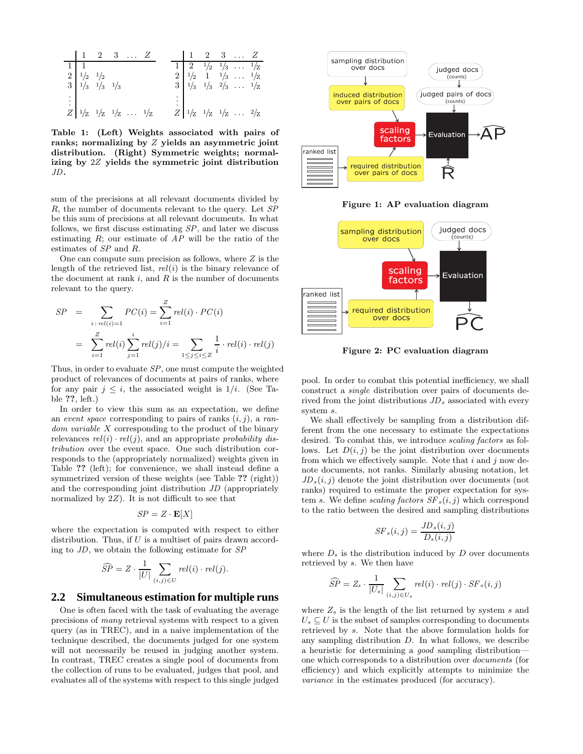|                                                                        |  | 2 3  Z                                                                            |  |  |  | $2 \quad 3 \quad \dots \quad Z$                                                                                                                                                                                               |  |
|------------------------------------------------------------------------|--|-----------------------------------------------------------------------------------|--|--|--|-------------------------------------------------------------------------------------------------------------------------------------------------------------------------------------------------------------------------------|--|
|                                                                        |  |                                                                                   |  |  |  |                                                                                                                                                                                                                               |  |
|                                                                        |  |                                                                                   |  |  |  |                                                                                                                                                                                                                               |  |
| $\begin{array}{c cc} 2 & 1/2 & 1/2 \\ 3 & 1/3 & 1/3 & 1/3 \end{array}$ |  |                                                                                   |  |  |  | $\begin{array}{c cccccc} 1 & 2 & \frac{1}{2} & \frac{1}{3} & \dots & \frac{1}{2} \\ 2 & \frac{1}{2} & 1 & \frac{1}{3} & \dots & \frac{1}{2} \\ 3 & \frac{1}{3} & \frac{1}{3} & \frac{2}{3} & \dots & \frac{1}{2} \end{array}$ |  |
|                                                                        |  |                                                                                   |  |  |  |                                                                                                                                                                                                                               |  |
|                                                                        |  | $\begin{array}{c cccc}\n\vdots \\ Z & 1/2 & 1/2 & 1/2 & \dots & 1/7\n\end{array}$ |  |  |  | $Z\Big 1/_{Z}1/_{Z}1/_{Z}\dots 2/_{Z}$                                                                                                                                                                                        |  |

Table 1: (Left) Weights associated with pairs of ranks; normalizing by Z yields an asymmetric joint distribution. (Right) Symmetric weights; normalizing by 2Z yields the symmetric joint distribution JD.

sum of the precisions at all relevant documents divided by R, the number of documents relevant to the query. Let SP be this sum of precisions at all relevant documents. In what follows, we first discuss estimating  $SP$ , and later we discuss estimating  $R$ ; our estimate of  $AP$  will be the ratio of the estimates of SP and R.

One can compute sum precision as follows, where  $Z$  is the length of the retrieved list,  $rel(i)$  is the binary relevance of the document at rank  $i$ , and  $R$  is the number of documents relevant to the query.

$$
SP = \sum_{i: rel(i) = 1} PC(i) = \sum_{i=1}^{Z} rel(i) \cdot PC(i)
$$
  
= 
$$
\sum_{i=1}^{Z} rel(i) \sum_{j=1}^{i} rel(j)/i = \sum_{1 \le j \le i \le Z} \frac{1}{i} \cdot rel(i) \cdot rel(j)
$$

Thus, in order to evaluate  $SP$ , one must compute the weighted product of relevances of documents at pairs of ranks, where for any pair  $j \leq i$ , the associated weight is  $1/i$ . (See Table ??, left.)

In order to view this sum as an expectation, we define an event space corresponding to pairs of ranks  $(i, j)$ , a random variable X corresponding to the product of the binary relevances  $rel(i) \cdot rel(j)$ , and an appropriate probability distribution over the event space. One such distribution corresponds to the (appropriately normalized) weights given in Table ?? (left); for convenience, we shall instead define a symmetrized version of these weights (see Table ?? (right)) and the corresponding joint distribution JD (appropriately normalized by  $2Z$ ). It is not difficult to see that

$$
SP = Z \cdot \mathbf{E}[X]
$$

where the expectation is computed with respect to either distribution. Thus, if  $U$  is a multiset of pairs drawn according to  $JD$ , we obtain the following estimate for  $SP$ 

$$
\widehat{SP} = Z \cdot \frac{1}{|U|} \sum_{(i,j) \in U} rel(i) \cdot rel(j).
$$

### **2.2 Simultaneous estimation for multiple runs**

One is often faced with the task of evaluating the average precisions of many retrieval systems with respect to a given query (as in TREC), and in a naive implementation of the technique described, the documents judged for one system will not necessarily be reused in judging another system. In contrast, TREC creates a single pool of documents from the collection of runs to be evaluated, judges that pool, and evaluates all of the systems with respect to this single judged



Figure 1: AP evaluation diagram



Figure 2: PC evaluation diagram

pool. In order to combat this potential inefficiency, we shall construct a single distribution over pairs of documents derived from the joint distributions  $JD_s$  associated with every system s.

We shall effectively be sampling from a distribution different from the one necessary to estimate the expectations desired. To combat this, we introduce scaling factors as follows. Let  $D(i, j)$  be the joint distribution over documents from which we effectively sample. Note that  $i$  and  $j$  now denote documents, not ranks. Similarly abusing notation, let  $JD_s(i, j)$  denote the joint distribution over documents (not ranks) required to estimate the proper expectation for system s. We define scaling factors  $SF_s(i, j)$  which correspond to the ratio between the desired and sampling distributions

$$
SF_s(i, j) = \frac{JD_s(i, j)}{D_s(i, j)}
$$

where  $D_s$  is the distribution induced by  $D$  over documents retrieved by s. We then have

$$
\widehat{SP} = Z_s \cdot \frac{1}{|U_s|} \sum_{(i,j) \in U_s} rel(i) \cdot rel(j) \cdot SF_s(i,j)
$$

where  $Z_s$  is the length of the list returned by system s and  $U_s \subseteq U$  is the subset of samples corresponding to documents retrieved by s. Note that the above formulation holds for any sampling distribution  $D$ . In what follows, we describe a heuristic for determining a good sampling distribution one which corresponds to a distribution over documents (for efficiency) and which explicitly attempts to minimize the variance in the estimates produced (for accuracy).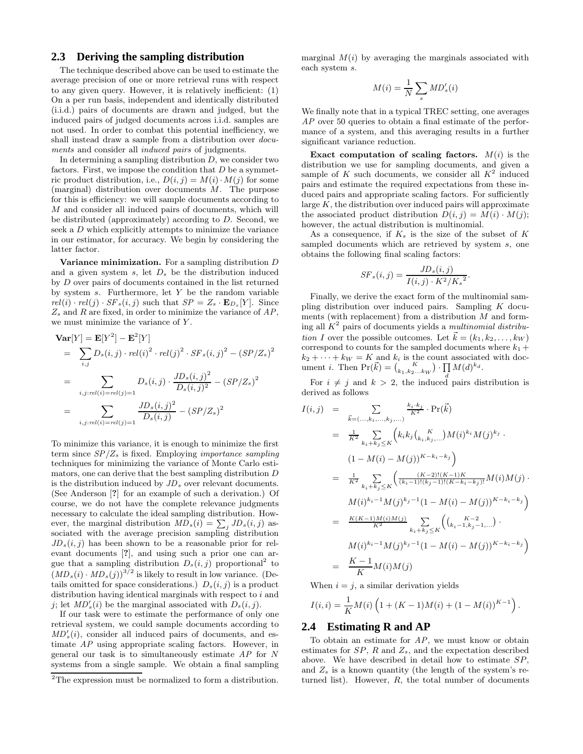## **2.3 Deriving the sampling distribution**

The technique described above can be used to estimate the average precision of one or more retrieval runs with respect to any given query. However, it is relatively inefficient: (1) On a per run basis, independent and identically distributed (i.i.d.) pairs of documents are drawn and judged, but the induced pairs of judged documents across i.i.d. samples are not used. In order to combat this potential inefficiency, we shall instead draw a sample from a distribution over documents and consider all *induced pairs* of judgments.

In determining a sampling distribution  $D$ , we consider two factors. First, we impose the condition that  $D$  be a symmetric product distribution, i.e.,  $D(i, j) = M(i) \cdot M(j)$  for some (marginal) distribution over documents M. The purpose for this is efficiency: we will sample documents according to M and consider all induced pairs of documents, which will be distributed (approximately) according to  $D$ . Second, we seek a D which explicitly attempts to minimize the variance in our estimator, for accuracy. We begin by considering the latter factor.

Variance minimization. For a sampling distribution  $D$ and a given system  $s$ , let  $D_s$  be the distribution induced by D over pairs of documents contained in the list returned by system  $s$ . Furthermore, let  $Y$  be the random variable  $rel(i) \cdot rel(j) \cdot SF_s(i, j)$  such that  $SP = Z_s \cdot \mathbf{E}_{D_s}[Y]$ . Since  $Z_s$  and R are fixed, in order to minimize the variance of  $AP$ , we must minimize the variance of Y.

$$
\begin{split} \mathbf{Var}[Y] &= \mathbf{E}[Y^2] - \mathbf{E}^2[Y] \\ &= \sum_{i,j} D_s(i,j) \cdot rel(i)^2 \cdot rel(j)^2 \cdot SF_s(i,j)^2 - (SP/Z_s)^2 \\ &= \sum_{i,j:rel(i)=rel(j)=1} D_s(i,j) \cdot \frac{JD_s(i,j)^2}{D_s(i,j)^2} - (SP/Z_s)^2 \\ &= \sum_{i,j:rel(i)=rel(j)=1} \frac{JD_s(i,j)^2}{D_s(i,j)} - (SP/Z_s)^2 \end{split}
$$

To minimize this variance, it is enough to minimize the first term since  $SP/Z_s$  is fixed. Employing *importance sampling* techniques for minimizing the variance of Monte Carlo estimators, one can derive that the best sampling distribution D is the distribution induced by  $JD_s$  over relevant documents. (See Anderson [?] for an example of such a derivation.) Of course, we do not have the complete relevance judgments necessary to calculate the ideal sampling distribution. However, the marginal distribution  $\overline{MD}_s(i) = \sum_j JD_s(i,j)$  associated with the average precision sampling distribution  $JD_s(i, j)$  has been shown to be a reasonable prior for relevant documents [?], and using such a prior one can argue that a sampling distribution  $D_s(i, j)$  proportional<sup>2</sup> to  $(MD<sub>s</sub>(i) \cdot MD<sub>s</sub>(j))$ <sup>3/2</sup> is likely to result in low variance. (Details omitted for space considerations.)  $D_s(i, j)$  is a product distribution having identical marginals with respect to i and j; let  $MD'_{s}(i)$  be the marginal associated with  $D_{s}(i, j)$ .

If our task were to estimate the performance of only one retrieval system, we could sample documents according to  $MD'_s(i)$ , consider all induced pairs of documents, and estimate AP using appropriate scaling factors. However, in general our task is to simultaneously estimate AP for N systems from a single sample. We obtain a final sampling marginal  $M(i)$  by averaging the marginals associated with each system s.

$$
M(i) = \frac{1}{N} \sum_{s} M D'_{s}(i)
$$

We finally note that in a typical TREC setting, one averages AP over 50 queries to obtain a final estimate of the performance of a system, and this averaging results in a further significant variance reduction.

Exact computation of scaling factors.  $M(i)$  is the distribution we use for sampling documents, and given a sample of K such documents, we consider all  $K^2$  induced pairs and estimate the required expectations from these induced pairs and appropriate scaling factors. For sufficiently large  $K$ , the distribution over induced pairs will approximate the associated product distribution  $D(i, j) = M(i) \cdot M(j);$ however, the actual distribution is multinomial.

As a consequence, if  $K_s$  is the size of the subset of  $K$ sampled documents which are retrieved by system s, one obtains the following final scaling factors:

$$
SF_s(i,j) = \frac{JD_s(i,j)}{I(i,j) \cdot K^2/K_s^2}.
$$

Finally, we derive the exact form of the multinomial sampling distribution over induced pairs. Sampling K documents (with replacement) from a distribution M and forming all  $K^2$  pairs of documents yields a multinomial distribution I over the possible outcomes. Let  $\vec{k} = (k_1, k_2, \ldots, k_W)$ correspond to counts for the sampled documents where  $k_1 +$  $k_2 + \cdots + k_W = K$  and  $k_i$  is the count associated with document *i*. Then  $Pr(\vec{k}) = {K \choose k_1, k_2...k_W} \cdot \prod_i M(d)^{k_d}$ .  $\prod_d M(d)^{k_d}.$ 

For  $i \neq j$  and  $k > 2$ , the induced pairs distribution is derived as follows

$$
I(i,j) = \sum_{\vec{k}=(...,k_i,...,k_j,...)} \frac{k_i \cdot k_j}{K^2} \cdot \Pr(\vec{k})
$$
  
\n
$$
= \frac{1}{K^2} \sum_{k_i+k_j \leq K} \left( k_i k_j {K \choose k_i, k_j,...} M(i)^{k_i} M(j)^{k_j} \right)
$$
  
\n
$$
= \frac{1}{K^2} \sum_{k_i+k_j \leq K} \left( \frac{(K-2)!(K-1)K}{(k_i-1)!(k_j-1)!(K-k_i-k_j)!} M(i) M(j) \right)
$$
  
\n
$$
M(i)^{k_i-1} M(j)^{k_j-1} (1 - M(i) - M(j))^{K-k_i-k_j}
$$
  
\n
$$
= \frac{K(K-1)M(i)M(j)}{K^2} \sum_{k_i+k_j \leq K} \left( {K-2 \choose k_i-1, k_j-1,...} \right)
$$
  
\n
$$
M(i)^{k_i-1} M(j)^{k_j-1} (1 - M(i) - M(j))^{K-k_i-k_j}
$$
  
\n
$$
= \frac{K-1}{K} M(i) M(j)
$$

When  $i = j$ , a similar derivation yields

$$
I(i,i) = \frac{1}{K}M(i)\left(1 + (K - 1)M(i) + (1 - M(i))^{K - 1}\right).
$$

#### **2.4 Estimating R and AP**

To obtain an estimate for  $AP$ , we must know or obtain estimates for  $SP$ , R and  $Z_s$ , and the expectation described above. We have described in detail how to estimate SP, and  $Z_s$  is a known quantity (the length of the system's returned list). However,  $R$ , the total number of documents

 $2$ The expression must be normalized to form a distribution.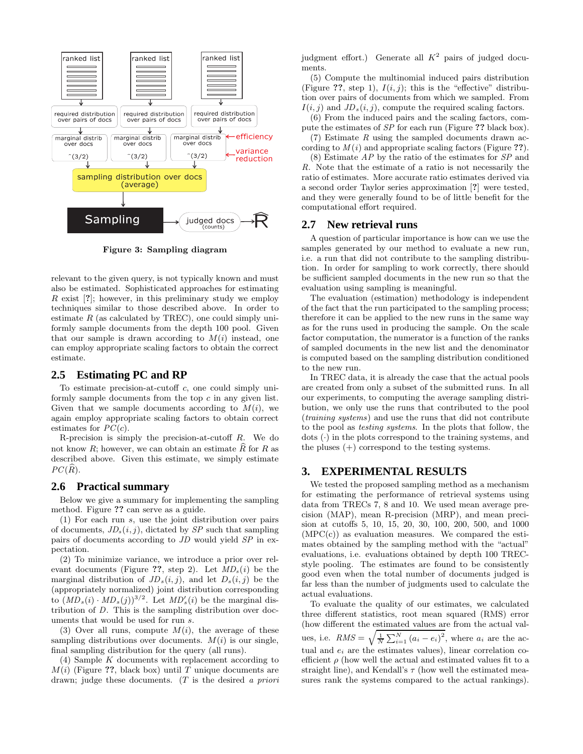

Figure 3: Sampling diagram

relevant to the given query, is not typically known and must also be estimated. Sophisticated approaches for estimating  $R$  exist  $[?]$ ; however, in this preliminary study we employ techniques similar to those described above. In order to estimate  $R$  (as calculated by TREC), one could simply uniformly sample documents from the depth 100 pool. Given that our sample is drawn according to  $M(i)$  instead, one can employ appropriate scaling factors to obtain the correct estimate.

#### **2.5 Estimating PC and RP**

To estimate precision-at-cutoff  $c$ , one could simply uniformly sample documents from the top  $c$  in any given list. Given that we sample documents according to  $M(i)$ , we again employ appropriate scaling factors to obtain correct estimates for  $PC(c)$ .

R-precision is simply the precision-at-cutoff  $R$ . We do not know R; however, we can obtain an estimate  $\widehat{R}$  for R as described above. Given this estimate, we simply estimate  $PC(R)$ .

#### **2.6 Practical summary**

Below we give a summary for implementing the sampling method. Figure ?? can serve as a guide.

(1) For each run s, use the joint distribution over pairs of documents,  $JD_s(i, j)$ , dictated by SP such that sampling pairs of documents according to JD would yield SP in expectation.

(2) To minimize variance, we introduce a prior over relevant documents (Figure ??, step 2). Let  $MD_s(i)$  be the marginal distribution of  $JD_s(i, j)$ , and let  $D_s(i, j)$  be the (appropriately normalized) joint distribution corresponding to  $(MD<sub>s</sub>(i) \cdot MD<sub>s</sub>(j))$ <sup>3/2</sup>. Let  $MD'<sub>s</sub>(i)$  be the marginal distribution of D. This is the sampling distribution over documents that would be used for run s.

(3) Over all runs, compute  $M(i)$ , the average of these sampling distributions over documents.  $M(i)$  is our single, final sampling distribution for the query (all runs).

(4) Sample K documents with replacement according to  $M(i)$  (Figure ??, black box) until T unique documents are drawn; judge these documents. (T is the desired a priori judgment effort.) Generate all  $K^2$  pairs of judged documents.

(5) Compute the multinomial induced pairs distribution (Figure ??, step 1),  $I(i, j)$ ; this is the "effective" distribution over pairs of documents from which we sampled. From  $I(i, j)$  and  $JD_s(i, j)$ , compute the required scaling factors.

(6) From the induced pairs and the scaling factors, compute the estimates of SP for each run (Figure ?? black box).  $(7)$  Estimate R using the sampled documents drawn ac-

cording to  $M(i)$  and appropriate scaling factors (Figure ??).

 $(8)$  Estimate  $AP$  by the ratio of the estimates for  $SP$  and R. Note that the estimate of a ratio is not necessarily the ratio of estimates. More accurate ratio estimates derived via a second order Taylor series approximation [?] were tested, and they were generally found to be of little benefit for the computational effort required.

## **2.7 New retrieval runs**

A question of particular importance is how can we use the samples generated by our method to evaluate a new run, i.e. a run that did not contribute to the sampling distribution. In order for sampling to work correctly, there should be sufficient sampled documents in the new run so that the evaluation using sampling is meaningful.

The evaluation (estimation) methodology is independent of the fact that the run participated to the sampling process; therefore it can be applied to the new runs in the same way as for the runs used in producing the sample. On the scale factor computation, the numerator is a function of the ranks of sampled documents in the new list and the denominator is computed based on the sampling distribution conditioned to the new run.

In TREC data, it is already the case that the actual pools are created from only a subset of the submitted runs. In all our experiments, to computing the average sampling distribution, we only use the runs that contributed to the pool (training systems) and use the runs that did not contribute to the pool as testing systems. In the plots that follow, the  $\dots$  dots ( $\cdot$ ) in the plots correspond to the training systems, and the pluses (+) correspond to the testing systems.

## **3. EXPERIMENTAL RESULTS**

We tested the proposed sampling method as a mechanism for estimating the performance of retrieval systems using data from TRECs 7, 8 and 10. We used mean average precision (MAP), mean R-precision (MRP), and mean precision at cutoffs 5, 10, 15, 20, 30, 100, 200, 500, and 1000  $(MPC(c))$  as evaluation measures. We compared the estimates obtained by the sampling method with the "actual" evaluations, i.e. evaluations obtained by depth 100 TRECstyle pooling. The estimates are found to be consistently good even when the total number of documents judged is far less than the number of judgments used to calculate the actual evaluations.

To evaluate the quality of our estimates, we calculated three different statistics, root mean squared (RMS) error (how different the estimated values are from the actual values, i.e.  $RMS = \sqrt{\frac{1}{N} \sum_{i=1}^{N} (a_i - e_i)^2}$ , where  $a_i$  are the actual and  $e_i$  are the estimates values), linear correlation coefficient  $\rho$  (how well the actual and estimated values fit to a straight line), and Kendall's  $\tau$  (how well the estimated measures rank the systems compared to the actual rankings).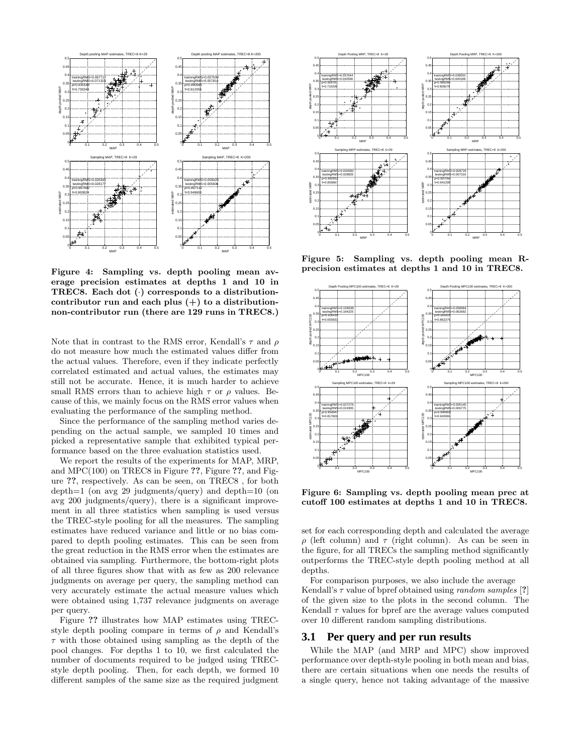

Figure 4: Sampling vs. depth pooling mean average precision estimates at depths 1 and 10 in TREC8. Each dot  $(·)$  corresponds to a distributioncontributor run and each plus  $(+)$  to a distributionnon-contributor run (there are 129 runs in TREC8.)

Note that in contrast to the RMS error, Kendall's  $\tau$  and  $\rho$ do not measure how much the estimated values differ from the actual values. Therefore, even if they indicate perfectly correlated estimated and actual values, the estimates may still not be accurate. Hence, it is much harder to achieve small RMS errors than to achieve high  $\tau$  or  $\rho$  values. Because of this, we mainly focus on the RMS error values when evaluating the performance of the sampling method.

Since the performance of the sampling method varies depending on the actual sample, we sampled 10 times and picked a representative sample that exhibited typical performance based on the three evaluation statistics used.

We report the results of the experiments for MAP, MRP, and MPC(100) on TREC8 in Figure ??, Figure ??, and Figure ??, respectively. As can be seen, on TREC8 , for both depth=1 (on avg 29 judgments/query) and depth=10 (on avg 200 judgments/query), there is a significant improvement in all three statistics when sampling is used versus the TREC-style pooling for all the measures. The sampling estimates have reduced variance and little or no bias compared to depth pooling estimates. This can be seen from the great reduction in the RMS error when the estimates are obtained via sampling. Furthermore, the bottom-right plots of all three figures show that with as few as 200 relevance judgments on average per query, the sampling method can very accurately estimate the actual measure values which were obtained using 1,737 relevance judgments on average per query.

Figure ?? illustrates how MAP estimates using TRECstyle depth pooling compare in terms of  $\rho$  and Kendall's  $\tau$  with those obtained using sampling as the depth of the pool changes. For depths 1 to 10, we first calculated the number of documents required to be judged using TRECstyle depth pooling. Then, for each depth, we formed 10 different samples of the same size as the required judgment



Figure 5: Sampling vs. depth pooling mean Rprecision estimates at depths 1 and 10 in TREC8.



Figure 6: Sampling vs. depth pooling mean prec at cutoff 100 estimates at depths 1 and 10 in TREC8.

set for each corresponding depth and calculated the average ρ (left column) and τ (right column). As can be seen in the figure, for all TRECs the sampling method significantly outperforms the TREC-style depth pooling method at all depths.

For comparison purposes, we also include the average Kendall's  $\tau$  value of bpref obtained using *random samples* [?] of the given size to the plots in the second column. The Kendall  $\tau$  values for bpref are the average values computed over 10 different random sampling distributions.

#### **3.1 Per query and per run results**

While the MAP (and MRP and MPC) show improved performance over depth-style pooling in both mean and bias, there are certain situations when one needs the results of a single query, hence not taking advantage of the massive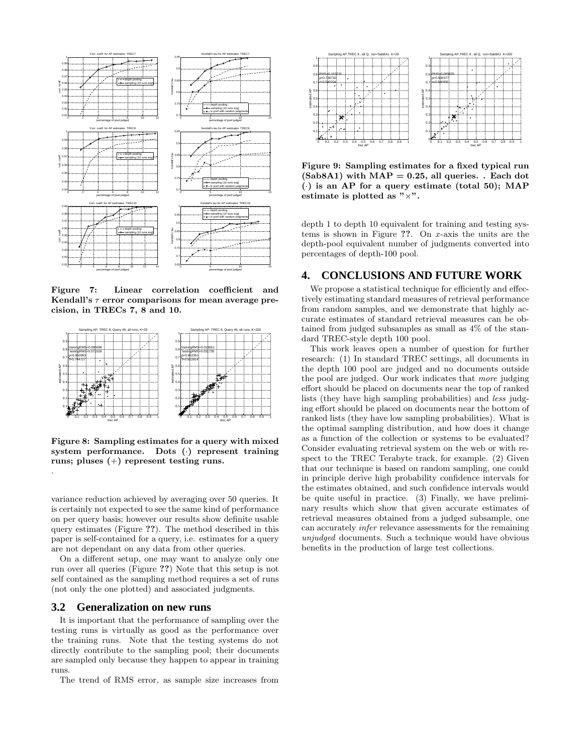

Figure 7: Linear correlation coefficient and Kendall's  $\tau$  error comparisons for mean average precision, in TRECs 7, 8 and 10.



Figure 8: Sampling estimates for a query with mixed system performance. Dots (·) represent training runs; pluses (+) represent testing runs.

variance reduction achieved by averaging over 50 queries. It is certainly not expected to see the same kind of performance on per query basis; however our results show definite usable query estimates (Figure ??). The method described in this paper is self-contained for a query, i.e. estimates for a query are not dependant on any data from other queries.

On a different setup, one may want to analyze only one run over all queries (Figure ??) Note that this setup is not self contained as the sampling method requires a set of runs (not only the one plotted) and associated judgments.

### **3.2 Generalization on new runs**

.

It is important that the performance of sampling over the testing runs is virtually as good as the performance over the training runs. Note that the testing systems do not directly contribute to the sampling pool; their documents are sampled only because they happen to appear in training runs.

The trend of RMS error, as sample size increases from



Figure 9: Sampling estimates for a fixed typical run  $(Sab8A1)$  with  $MAP = 0.25$ , all queries. . Each dot  $\left(\cdot\right)$  is an AP for a query estimate (total 50); MAP estimate is plotted as  $" \times"$ .

depth 1 to depth 10 equivalent for training and testing systems is shown in Figure ??. On x-axis the units are the depth-pool equivalent number of judgments converted into percentages of depth-100 pool.

#### **4. CONCLUSIONS AND FUTURE WORK**

We propose a statistical technique for efficiently and effectively estimating standard measures of retrieval performance from random samples, and we demonstrate that highly accurate estimates of standard retrieval measures can be obtained from judged subsamples as small as 4% of the standard TREC-style depth 100 pool.

This work leaves open a number of question for further research: (1) In standard TREC settings, all documents in the depth 100 pool are judged and no documents outside the pool are judged. Our work indicates that more judging effort should be placed on documents near the top of ranked lists (they have high sampling probabilities) and less judging effort should be placed on documents near the bottom of ranked lists (they have low sampling probabilities). What is the optimal sampling distribution, and how does it change as a function of the collection or systems to be evaluated? Consider evaluating retrieval system on the web or with respect to the TREC Terabyte track, for example. (2) Given that our technique is based on random sampling, one could in principle derive high probability confidence intervals for the estimates obtained, and such confidence intervals would be quite useful in practice. (3) Finally, we have preliminary results which show that given accurate estimates of retrieval measures obtained from a judged subsample, one can accurately infer relevance assessments for the remaining unjudged documents. Such a technique would have obvious benefits in the production of large test collections.